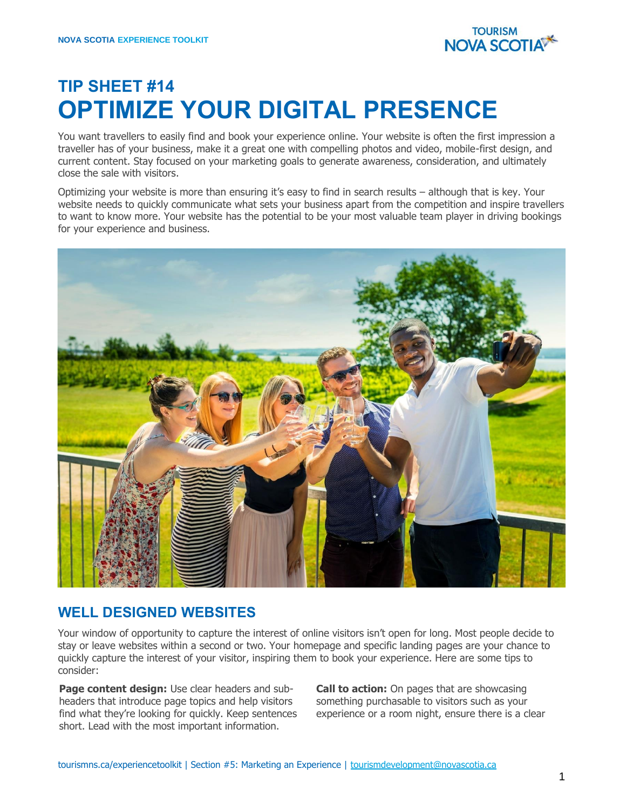

## **TIP SHEET #14 OPTIMIZE YOUR DIGITAL PRESENCE**

You want travellers to easily find and book your experience online. Your website is often the first impression a traveller has of your business, make it a great one with compelling photos and video, mobile-first design, and current content. Stay focused on your marketing goals to generate awareness, consideration, and ultimately close the sale with visitors.

Optimizing your website is more than ensuring it's easy to find in search results – although that is key. Your website needs to quickly communicate what sets your business apart from the competition and inspire travellers to want to know more. Your website has the potential to be your most valuable team player in driving bookings for your experience and business.



## **WELL DESIGNED WEBSITES**

Your window of opportunity to capture the interest of online visitors isn't open for long. Most people decide to stay or leave websites within a second or two. Your homepage and specific landing pages are your chance to quickly capture the interest of your visitor, inspiring them to book your experience. Here are some tips to consider:

**Page content design:** Use clear headers and subheaders that introduce page topics and help visitors find what they're looking for quickly. Keep sentences short. Lead with the most important information.

**Call to action:** On pages that are showcasing something purchasable to visitors such as your experience or a room night, ensure there is a clear